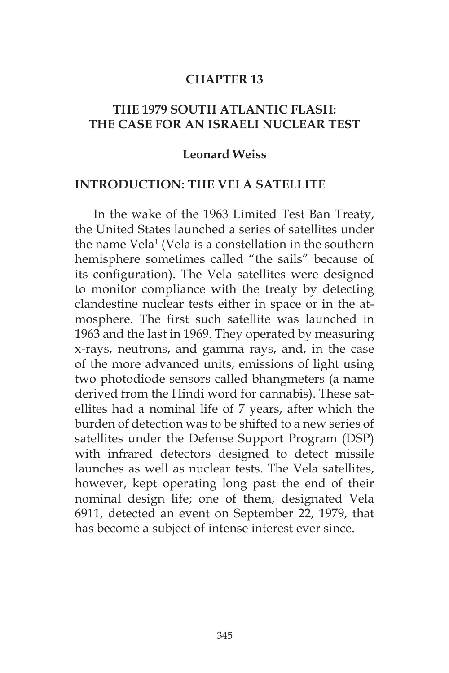#### **CHAPTER 13**

### **THE 1979 SOUTH ATLANTIC FLASH: THE CASE FOR AN ISRAELI NUCLEAR TEST**

#### **Leonard Weiss**

#### **INTRODUCTION: THE VELA SATELLITE**

In the wake of the 1963 Limited Test Ban Treaty, the United States launched a series of satellites under the name Vela<sup>1</sup> (Vela is a constellation in the southern hemisphere sometimes called "the sails" because of its configuration). The Vela satellites were designed to monitor compliance with the treaty by detecting clandestine nuclear tests either in space or in the atmosphere. The first such satellite was launched in 1963 and the last in 1969. They operated by measuring x-rays, neutrons, and gamma rays, and, in the case of the more advanced units, emissions of light using two photodiode sensors called bhangmeters (a name derived from the Hindi word for cannabis). These satellites had a nominal life of 7 years, after which the burden of detection was to be shifted to a new series of satellites under the Defense Support Program (DSP) with infrared detectors designed to detect missile launches as well as nuclear tests. The Vela satellites, however, kept operating long past the end of their nominal design life; one of them, designated Vela 6911, detected an event on September 22, 1979, that has become a subject of intense interest ever since.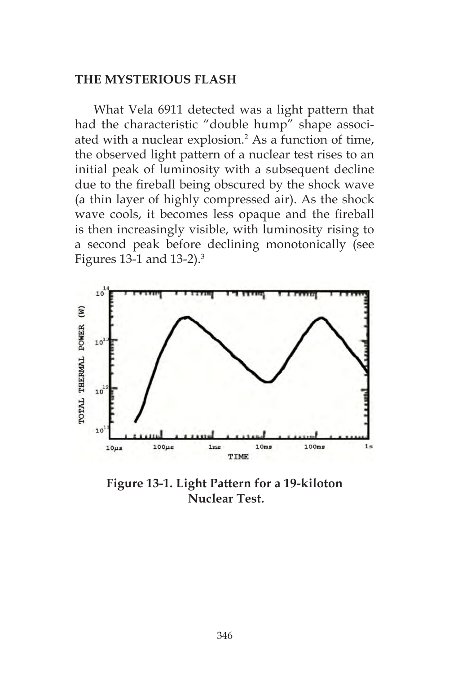#### **THE MYSTERIOUS FLASH**

What Vela 6911 detected was a light pattern that had the characteristic "double hump" shape associated with a nuclear explosion.<sup>2</sup> As a function of time, the observed light pattern of a nuclear test rises to an initial peak of luminosity with a subsequent decline due to the fireball being obscured by the shock wave (a thin layer of highly compressed air). As the shock wave cools, it becomes less opaque and the fireball is then increasingly visible, with luminosity rising to a second peak before declining monotonically (see Figures 13-1 and 13-2).3



**Figure 13-1. Light Pattern for a 19-kiloton Nuclear Test.**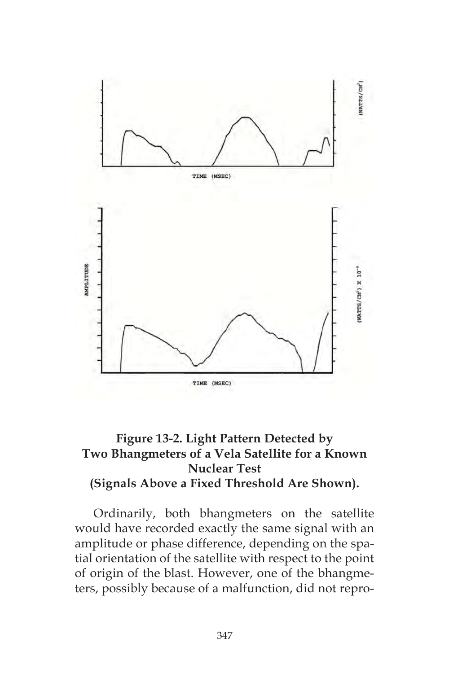

# **Figure 13-2. Light Pattern Detected by Two Bhangmeters of a Vela Satellite for a Known Nuclear Test (Signals Above a Fixed Threshold Are Shown).**

Ordinarily, both bhangmeters on the satellite would have recorded exactly the same signal with an amplitude or phase difference, depending on the spatial orientation of the satellite with respect to the point of origin of the blast. However, one of the bhangmeters, possibly because of a malfunction, did not repro-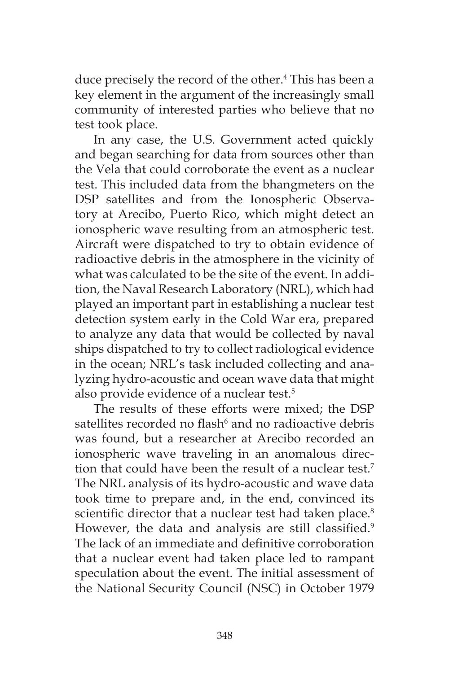duce precisely the record of the other.<sup>4</sup> This has been a key element in the argument of the increasingly small community of interested parties who believe that no test took place.

In any case, the U.S. Government acted quickly and began searching for data from sources other than the Vela that could corroborate the event as a nuclear test. This included data from the bhangmeters on the DSP satellites and from the Ionospheric Observatory at Arecibo, Puerto Rico, which might detect an ionospheric wave resulting from an atmospheric test. Aircraft were dispatched to try to obtain evidence of radioactive debris in the atmosphere in the vicinity of what was calculated to be the site of the event. In addition, the Naval Research Laboratory (NRL), which had played an important part in establishing a nuclear test detection system early in the Cold War era, prepared to analyze any data that would be collected by naval ships dispatched to try to collect radiological evidence in the ocean; NRL's task included collecting and analyzing hydro-acoustic and ocean wave data that might also provide evidence of a nuclear test.<sup>5</sup>

The results of these efforts were mixed; the DSP satellites recorded no flash<sup>6</sup> and no radioactive debris was found, but a researcher at Arecibo recorded an ionospheric wave traveling in an anomalous direction that could have been the result of a nuclear test.<sup>7</sup> The NRL analysis of its hydro-acoustic and wave data took time to prepare and, in the end, convinced its scientific director that a nuclear test had taken place.<sup>8</sup> However, the data and analysis are still classified.<sup>9</sup> The lack of an immediate and definitive corroboration that a nuclear event had taken place led to rampant speculation about the event. The initial assessment of the National Security Council (NSC) in October 1979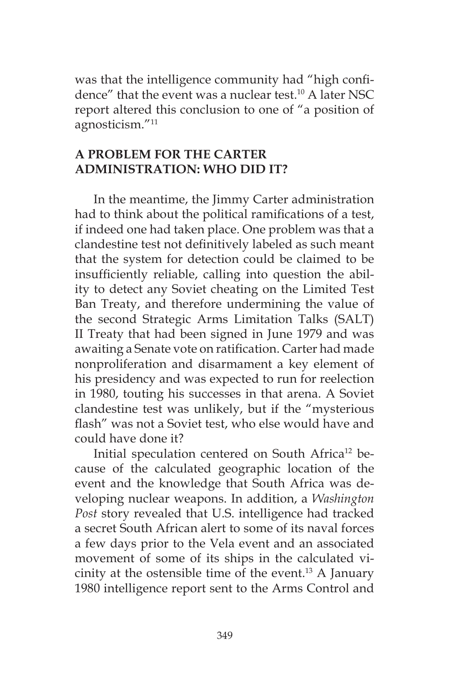was that the intelligence community had "high confidence" that the event was a nuclear test.<sup>10</sup> A later NSC report altered this conclusion to one of "a position of agnosticism."11

## **A PROBLEM FOR THE CARTER ADMINISTRATION: WHO DID IT?**

In the meantime, the Jimmy Carter administration had to think about the political ramifications of a test, if indeed one had taken place. One problem was that a clandestine test not definitively labeled as such meant that the system for detection could be claimed to be insufficiently reliable, calling into question the ability to detect any Soviet cheating on the Limited Test Ban Treaty, and therefore undermining the value of the second Strategic Arms Limitation Talks (SALT) II Treaty that had been signed in June 1979 and was awaiting a Senate vote on ratification. Carter had made nonproliferation and disarmament a key element of his presidency and was expected to run for reelection in 1980, touting his successes in that arena. A Soviet clandestine test was unlikely, but if the "mysterious flash" was not a Soviet test, who else would have and could have done it?

Initial speculation centered on South Africa<sup>12</sup> because of the calculated geographic location of the event and the knowledge that South Africa was developing nuclear weapons. In addition, a *Washington Post* story revealed that U.S. intelligence had tracked a secret South African alert to some of its naval forces a few days prior to the Vela event and an associated movement of some of its ships in the calculated vicinity at the ostensible time of the event.13 A January 1980 intelligence report sent to the Arms Control and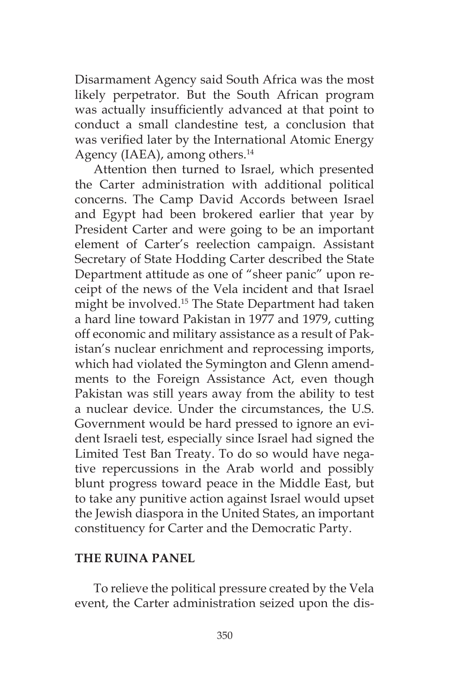Disarmament Agency said South Africa was the most likely perpetrator. But the South African program was actually insufficiently advanced at that point to conduct a small clandestine test, a conclusion that was verified later by the International Atomic Energy Agency (IAEA), among others.<sup>14</sup>

Attention then turned to Israel, which presented the Carter administration with additional political concerns. The Camp David Accords between Israel and Egypt had been brokered earlier that year by President Carter and were going to be an important element of Carter's reelection campaign. Assistant Secretary of State Hodding Carter described the State Department attitude as one of "sheer panic" upon receipt of the news of the Vela incident and that Israel might be involved.15 The State Department had taken a hard line toward Pakistan in 1977 and 1979, cutting off economic and military assistance as a result of Pakistan's nuclear enrichment and reprocessing imports, which had violated the Symington and Glenn amendments to the Foreign Assistance Act, even though Pakistan was still years away from the ability to test a nuclear device. Under the circumstances, the U.S. Government would be hard pressed to ignore an evident Israeli test, especially since Israel had signed the Limited Test Ban Treaty. To do so would have negative repercussions in the Arab world and possibly blunt progress toward peace in the Middle East, but to take any punitive action against Israel would upset the Jewish diaspora in the United States, an important constituency for Carter and the Democratic Party.

### **THE RUINA PANEL**

To relieve the political pressure created by the Vela event, the Carter administration seized upon the dis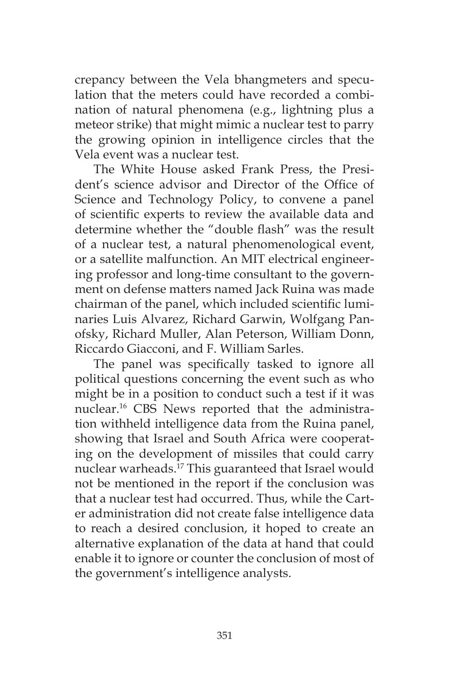crepancy between the Vela bhangmeters and speculation that the meters could have recorded a combination of natural phenomena (e.g., lightning plus a meteor strike) that might mimic a nuclear test to parry the growing opinion in intelligence circles that the Vela event was a nuclear test.

The White House asked Frank Press, the President's science advisor and Director of the Office of Science and Technology Policy, to convene a panel of scientific experts to review the available data and determine whether the "double flash" was the result of a nuclear test, a natural phenomenological event, or a satellite malfunction. An MIT electrical engineering professor and long-time consultant to the government on defense matters named Jack Ruina was made chairman of the panel, which included scientific luminaries Luis Alvarez, Richard Garwin, Wolfgang Panofsky, Richard Muller, Alan Peterson, William Donn, Riccardo Giacconi, and F. William Sarles.

The panel was specifically tasked to ignore all political questions concerning the event such as who might be in a position to conduct such a test if it was nuclear.16 CBS News reported that the administration withheld intelligence data from the Ruina panel, showing that Israel and South Africa were cooperating on the development of missiles that could carry nuclear warheads.17 This guaranteed that Israel would not be mentioned in the report if the conclusion was that a nuclear test had occurred. Thus, while the Carter administration did not create false intelligence data to reach a desired conclusion, it hoped to create an alternative explanation of the data at hand that could enable it to ignore or counter the conclusion of most of the government's intelligence analysts.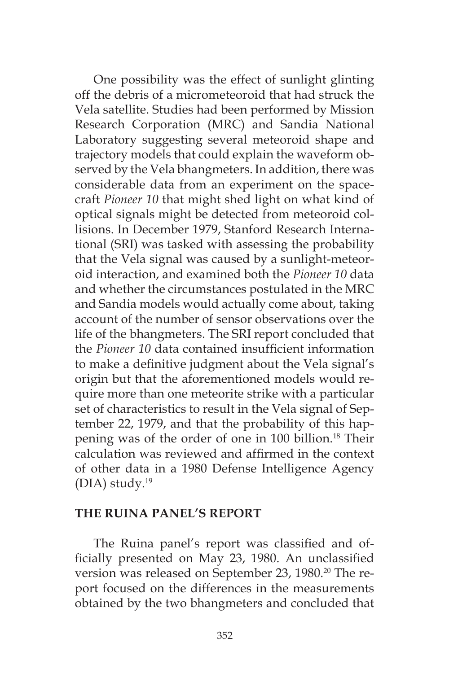One possibility was the effect of sunlight glinting off the debris of a micrometeoroid that had struck the Vela satellite. Studies had been performed by Mission Research Corporation (MRC) and Sandia National Laboratory suggesting several meteoroid shape and trajectory models that could explain the waveform observed by the Vela bhangmeters. In addition, there was considerable data from an experiment on the spacecraft *Pioneer 10* that might shed light on what kind of optical signals might be detected from meteoroid collisions. In December 1979, Stanford Research International (SRI) was tasked with assessing the probability that the Vela signal was caused by a sunlight-meteoroid interaction, and examined both the *Pioneer 10* data and whether the circumstances postulated in the MRC and Sandia models would actually come about, taking account of the number of sensor observations over the life of the bhangmeters. The SRI report concluded that the *Pioneer 10* data contained insufficient information to make a definitive judgment about the Vela signal's origin but that the aforementioned models would require more than one meteorite strike with a particular set of characteristics to result in the Vela signal of September 22, 1979, and that the probability of this happening was of the order of one in 100 billion.18 Their calculation was reviewed and affirmed in the context of other data in a 1980 Defense Intelligence Agency (DIA) study. $19$ 

#### **THE RUINA PANEL'S REPORT**

The Ruina panel's report was classified and officially presented on May 23, 1980. An unclassified version was released on September 23, 1980.<sup>20</sup> The report focused on the differences in the measurements obtained by the two bhangmeters and concluded that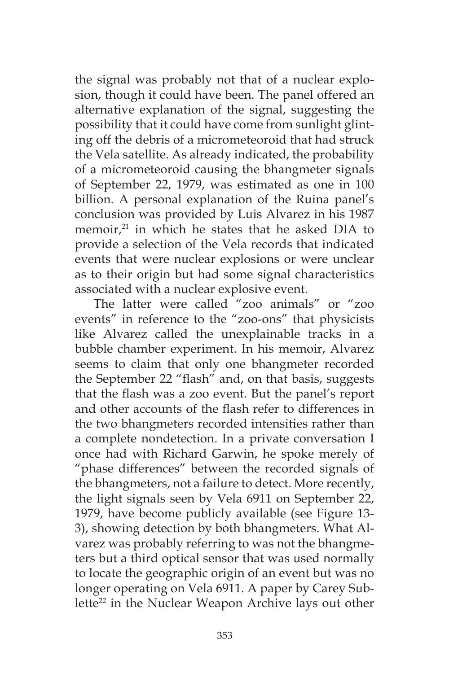the signal was probably not that of a nuclear explosion, though it could have been. The panel offered an alternative explanation of the signal, suggesting the possibility that it could have come from sunlight glinting off the debris of a micrometeoroid that had struck the Vela satellite. As already indicated, the probability of a micrometeoroid causing the bhangmeter signals of September 22, 1979, was estimated as one in 100 billion. A personal explanation of the Ruina panel's conclusion was provided by Luis Alvarez in his 1987 memoir, $21$  in which he states that he asked DIA to provide a selection of the Vela records that indicated events that were nuclear explosions or were unclear as to their origin but had some signal characteristics associated with a nuclear explosive event.

The latter were called "zoo animals" or "zoo events" in reference to the "zoo-ons" that physicists like Alvarez called the unexplainable tracks in a bubble chamber experiment. In his memoir, Alvarez seems to claim that only one bhangmeter recorded the September 22 "flash" and, on that basis, suggests that the flash was a zoo event. But the panel's report and other accounts of the flash refer to differences in the two bhangmeters recorded intensities rather than a complete nondetection. In a private conversation I once had with Richard Garwin, he spoke merely of "phase differences" between the recorded signals of the bhangmeters, not a failure to detect. More recently, the light signals seen by Vela 6911 on September 22, 1979, have become publicly available (see Figure 13- 3), showing detection by both bhangmeters. What Alvarez was probably referring to was not the bhangmeters but a third optical sensor that was used normally to locate the geographic origin of an event but was no longer operating on Vela 6911. A paper by Carey Sublette<sup>22</sup> in the Nuclear Weapon Archive lays out other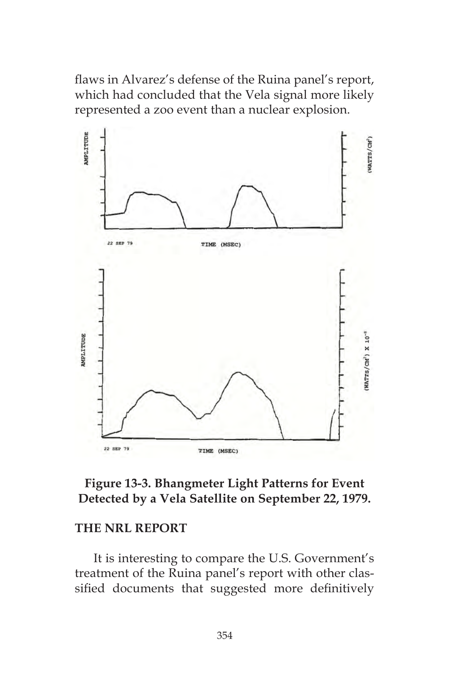flaws in Alvarez's defense of the Ruina panel's report, which had concluded that the Vela signal more likely represented a zoo event than a nuclear explosion.



## **Figure 13-3. Bhangmeter Light Patterns for Event Detected by a Vela Satellite on September 22, 1979.**

#### **THE NRL REPORT**

It is interesting to compare the U.S. Government's treatment of the Ruina panel's report with other classified documents that suggested more definitively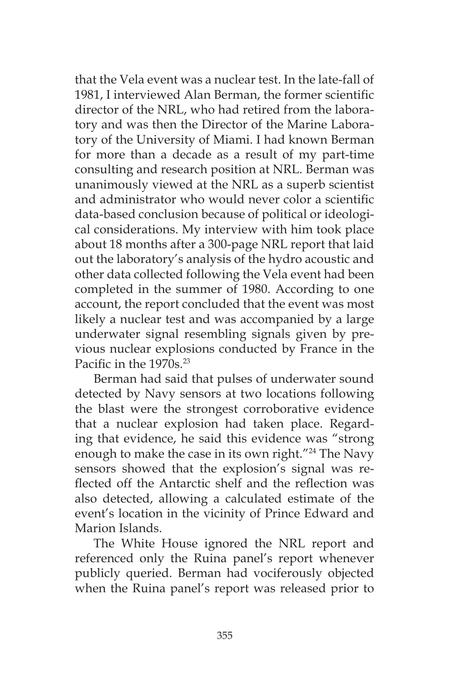that the Vela event was a nuclear test. In the late-fall of 1981, I interviewed Alan Berman, the former scientific director of the NRL, who had retired from the laboratory and was then the Director of the Marine Laboratory of the University of Miami. I had known Berman for more than a decade as a result of my part-time consulting and research position at NRL. Berman was unanimously viewed at the NRL as a superb scientist and administrator who would never color a scientific data-based conclusion because of political or ideological considerations. My interview with him took place about 18 months after a 300-page NRL report that laid out the laboratory's analysis of the hydro acoustic and other data collected following the Vela event had been completed in the summer of 1980. According to one account, the report concluded that the event was most likely a nuclear test and was accompanied by a large underwater signal resembling signals given by previous nuclear explosions conducted by France in the Pacific in the 1970s<sup>23</sup>

Berman had said that pulses of underwater sound detected by Navy sensors at two locations following the blast were the strongest corroborative evidence that a nuclear explosion had taken place. Regarding that evidence, he said this evidence was "strong enough to make the case in its own right."<sup>24</sup> The Navy sensors showed that the explosion's signal was reflected off the Antarctic shelf and the reflection was also detected, allowing a calculated estimate of the event's location in the vicinity of Prince Edward and Marion Islands.

The White House ignored the NRL report and referenced only the Ruina panel's report whenever publicly queried. Berman had vociferously objected when the Ruina panel's report was released prior to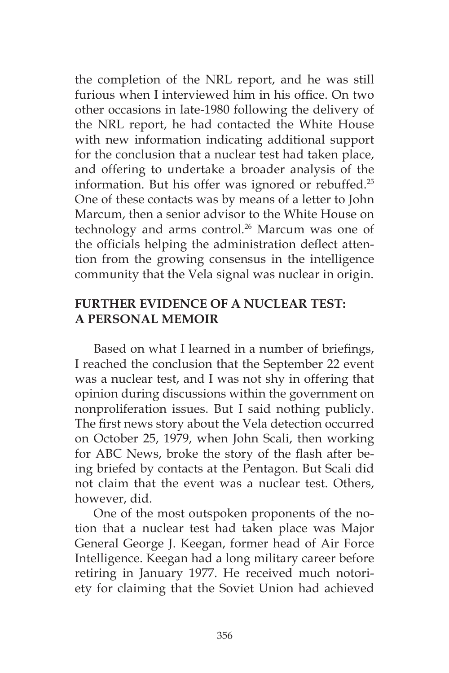the completion of the NRL report, and he was still furious when I interviewed him in his office. On two other occasions in late-1980 following the delivery of the NRL report, he had contacted the White House with new information indicating additional support for the conclusion that a nuclear test had taken place, and offering to undertake a broader analysis of the information. But his offer was ignored or rebuffed.<sup>25</sup> One of these contacts was by means of a letter to John Marcum, then a senior advisor to the White House on technology and arms control.<sup>26</sup> Marcum was one of the officials helping the administration deflect attention from the growing consensus in the intelligence community that the Vela signal was nuclear in origin.

# **FURTHER EVIDENCE OF A NUCLEAR TEST: A PERSONAL MEMOIR**

Based on what I learned in a number of briefings, I reached the conclusion that the September 22 event was a nuclear test, and I was not shy in offering that opinion during discussions within the government on nonproliferation issues. But I said nothing publicly. The first news story about the Vela detection occurred on October 25, 1979, when John Scali, then working for ABC News, broke the story of the flash after being briefed by contacts at the Pentagon. But Scali did not claim that the event was a nuclear test. Others, however, did.

One of the most outspoken proponents of the notion that a nuclear test had taken place was Major General George J. Keegan, former head of Air Force Intelligence. Keegan had a long military career before retiring in January 1977. He received much notoriety for claiming that the Soviet Union had achieved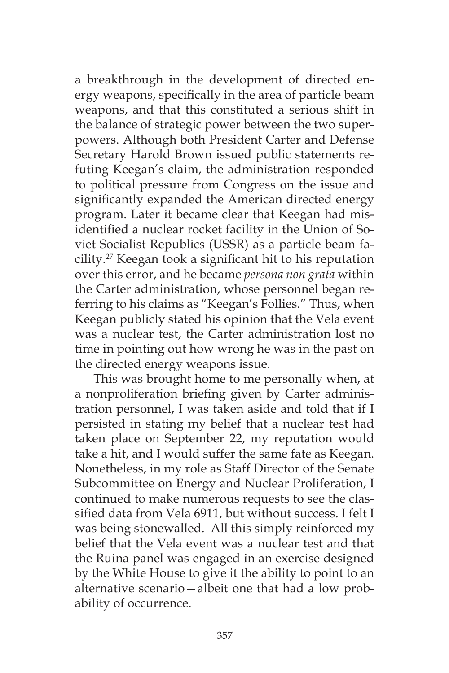a breakthrough in the development of directed energy weapons, specifically in the area of particle beam weapons, and that this constituted a serious shift in the balance of strategic power between the two superpowers. Although both President Carter and Defense Secretary Harold Brown issued public statements refuting Keegan's claim, the administration responded to political pressure from Congress on the issue and significantly expanded the American directed energy program. Later it became clear that Keegan had misidentified a nuclear rocket facility in the Union of Soviet Socialist Republics (USSR) as a particle beam facility.27 Keegan took a significant hit to his reputation over this error, and he became *persona non grata* within the Carter administration, whose personnel began referring to his claims as "Keegan's Follies." Thus, when Keegan publicly stated his opinion that the Vela event was a nuclear test, the Carter administration lost no time in pointing out how wrong he was in the past on the directed energy weapons issue.

This was brought home to me personally when, at a nonproliferation briefing given by Carter administration personnel, I was taken aside and told that if I persisted in stating my belief that a nuclear test had taken place on September 22, my reputation would take a hit, and I would suffer the same fate as Keegan. Nonetheless, in my role as Staff Director of the Senate Subcommittee on Energy and Nuclear Proliferation, I continued to make numerous requests to see the classified data from Vela 6911, but without success. I felt I was being stonewalled. All this simply reinforced my belief that the Vela event was a nuclear test and that the Ruina panel was engaged in an exercise designed by the White House to give it the ability to point to an alternative scenario—albeit one that had a low probability of occurrence.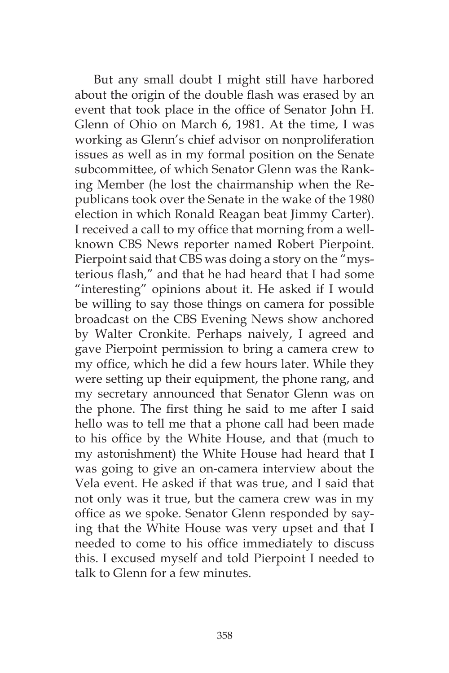But any small doubt I might still have harbored about the origin of the double flash was erased by an event that took place in the office of Senator John H. Glenn of Ohio on March 6, 1981. At the time, I was working as Glenn's chief advisor on nonproliferation issues as well as in my formal position on the Senate subcommittee, of which Senator Glenn was the Ranking Member (he lost the chairmanship when the Republicans took over the Senate in the wake of the 1980 election in which Ronald Reagan beat Jimmy Carter). I received a call to my office that morning from a wellknown CBS News reporter named Robert Pierpoint. Pierpoint said that CBS was doing a story on the "mysterious flash," and that he had heard that I had some "interesting" opinions about it. He asked if I would be willing to say those things on camera for possible broadcast on the CBS Evening News show anchored by Walter Cronkite. Perhaps naively, I agreed and gave Pierpoint permission to bring a camera crew to my office, which he did a few hours later. While they were setting up their equipment, the phone rang, and my secretary announced that Senator Glenn was on the phone. The first thing he said to me after I said hello was to tell me that a phone call had been made to his office by the White House, and that (much to my astonishment) the White House had heard that I was going to give an on-camera interview about the Vela event. He asked if that was true, and I said that not only was it true, but the camera crew was in my office as we spoke. Senator Glenn responded by saying that the White House was very upset and that I needed to come to his office immediately to discuss this. I excused myself and told Pierpoint I needed to talk to Glenn for a few minutes.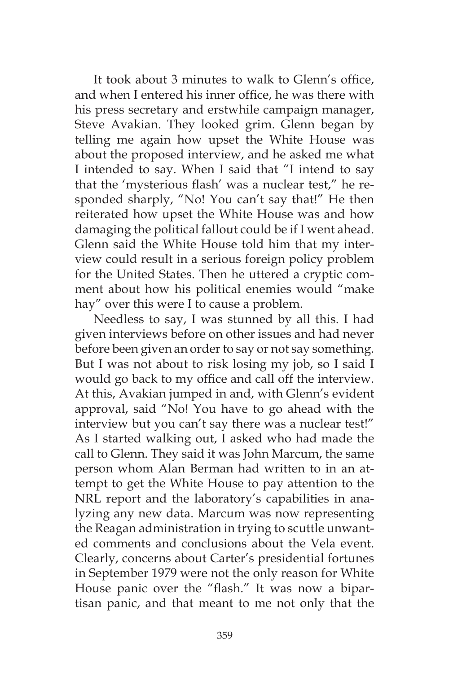It took about 3 minutes to walk to Glenn's office, and when I entered his inner office, he was there with his press secretary and erstwhile campaign manager, Steve Avakian. They looked grim. Glenn began by telling me again how upset the White House was about the proposed interview, and he asked me what I intended to say. When I said that "I intend to say that the 'mysterious flash' was a nuclear test," he responded sharply, "No! You can't say that!" He then reiterated how upset the White House was and how damaging the political fallout could be if I went ahead. Glenn said the White House told him that my interview could result in a serious foreign policy problem for the United States. Then he uttered a cryptic comment about how his political enemies would "make hay" over this were I to cause a problem.

Needless to say, I was stunned by all this. I had given interviews before on other issues and had never before been given an order to say or not say something. But I was not about to risk losing my job, so I said I would go back to my office and call off the interview. At this, Avakian jumped in and, with Glenn's evident approval, said "No! You have to go ahead with the interview but you can't say there was a nuclear test!" As I started walking out, I asked who had made the call to Glenn. They said it was John Marcum, the same person whom Alan Berman had written to in an attempt to get the White House to pay attention to the NRL report and the laboratory's capabilities in analyzing any new data. Marcum was now representing the Reagan administration in trying to scuttle unwanted comments and conclusions about the Vela event. Clearly, concerns about Carter's presidential fortunes in September 1979 were not the only reason for White House panic over the "flash." It was now a bipartisan panic, and that meant to me not only that the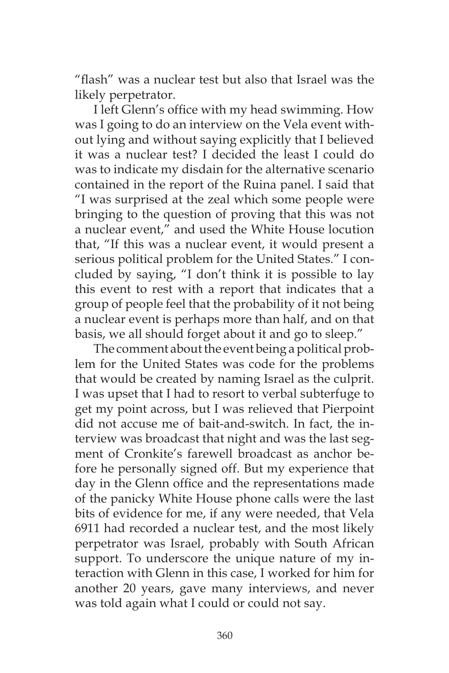"flash" was a nuclear test but also that Israel was the likely perpetrator.

I left Glenn's office with my head swimming. How was I going to do an interview on the Vela event without lying and without saying explicitly that I believed it was a nuclear test? I decided the least I could do was to indicate my disdain for the alternative scenario contained in the report of the Ruina panel. I said that "I was surprised at the zeal which some people were bringing to the question of proving that this was not a nuclear event," and used the White House locution that, "If this was a nuclear event, it would present a serious political problem for the United States." I concluded by saying, "I don't think it is possible to lay this event to rest with a report that indicates that a group of people feel that the probability of it not being a nuclear event is perhaps more than half, and on that basis, we all should forget about it and go to sleep."

The comment about the event being a political problem for the United States was code for the problems that would be created by naming Israel as the culprit. I was upset that I had to resort to verbal subterfuge to get my point across, but I was relieved that Pierpoint did not accuse me of bait-and-switch. In fact, the interview was broadcast that night and was the last segment of Cronkite's farewell broadcast as anchor before he personally signed off. But my experience that day in the Glenn office and the representations made of the panicky White House phone calls were the last bits of evidence for me, if any were needed, that Vela 6911 had recorded a nuclear test, and the most likely perpetrator was Israel, probably with South African support. To underscore the unique nature of my interaction with Glenn in this case, I worked for him for another 20 years, gave many interviews, and never was told again what I could or could not say.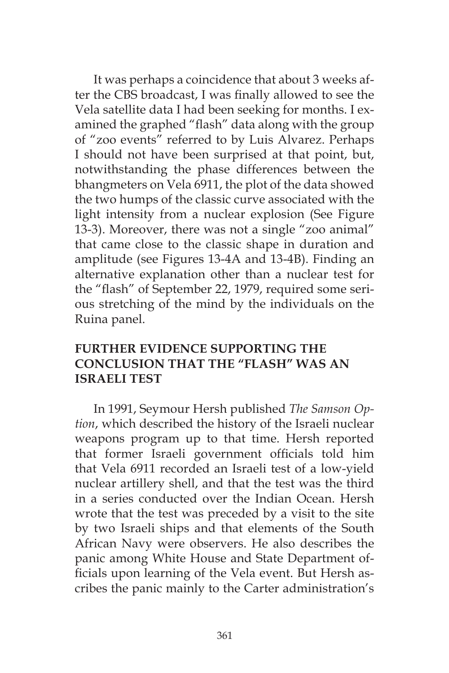It was perhaps a coincidence that about 3 weeks after the CBS broadcast, I was finally allowed to see the Vela satellite data I had been seeking for months. I examined the graphed "flash" data along with the group of "zoo events" referred to by Luis Alvarez. Perhaps I should not have been surprised at that point, but, notwithstanding the phase differences between the bhangmeters on Vela 6911, the plot of the data showed the two humps of the classic curve associated with the light intensity from a nuclear explosion (See Figure 13-3). Moreover, there was not a single "zoo animal" that came close to the classic shape in duration and amplitude (see Figures 13-4A and 13-4B). Finding an alternative explanation other than a nuclear test for the "flash" of September 22, 1979, required some serious stretching of the mind by the individuals on the Ruina panel.

# **FURTHER EVIDENCE SUPPORTING THE CONCLUSION THAT THE "FLASH" WAS AN ISRAELI TEST**

In 1991, Seymour Hersh published *The Samson Option*, which described the history of the Israeli nuclear weapons program up to that time. Hersh reported that former Israeli government officials told him that Vela 6911 recorded an Israeli test of a low-yield nuclear artillery shell, and that the test was the third in a series conducted over the Indian Ocean. Hersh wrote that the test was preceded by a visit to the site by two Israeli ships and that elements of the South African Navy were observers. He also describes the panic among White House and State Department officials upon learning of the Vela event. But Hersh ascribes the panic mainly to the Carter administration's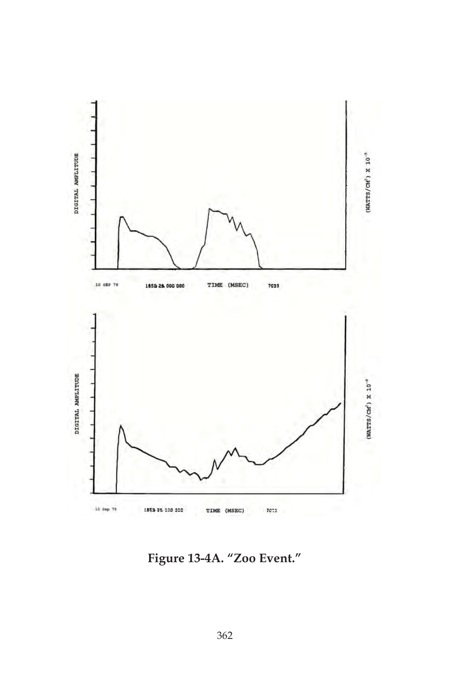

**Figure 13-4A. "Zoo Event."**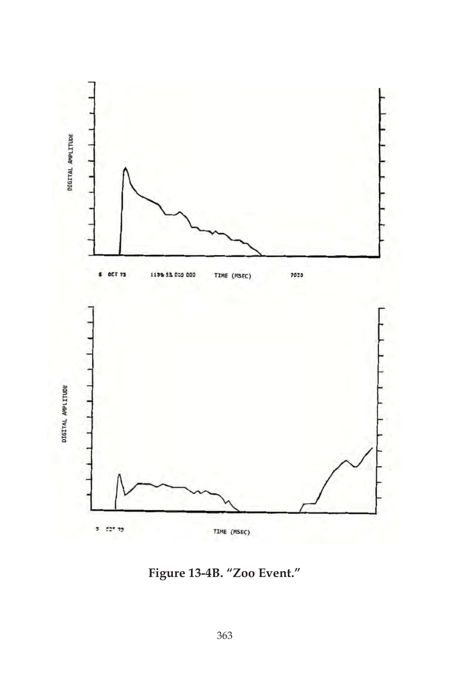

**Figure 13-4B. "Zoo Event."**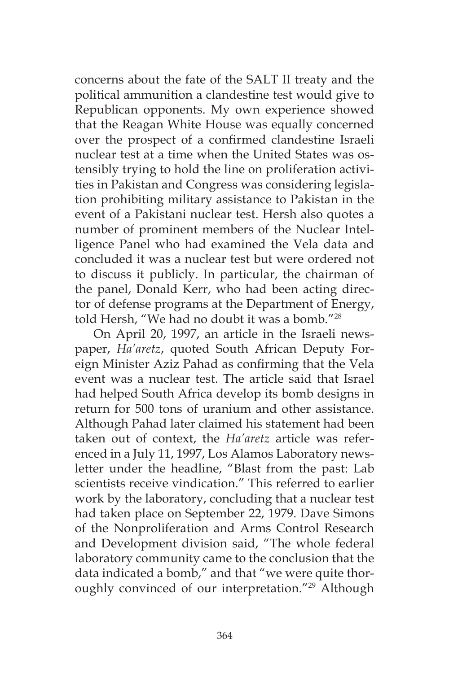concerns about the fate of the SALT II treaty and the political ammunition a clandestine test would give to Republican opponents. My own experience showed that the Reagan White House was equally concerned over the prospect of a confirmed clandestine Israeli nuclear test at a time when the United States was ostensibly trying to hold the line on proliferation activities in Pakistan and Congress was considering legislation prohibiting military assistance to Pakistan in the event of a Pakistani nuclear test. Hersh also quotes a number of prominent members of the Nuclear Intelligence Panel who had examined the Vela data and concluded it was a nuclear test but were ordered not to discuss it publicly. In particular, the chairman of the panel, Donald Kerr, who had been acting director of defense programs at the Department of Energy, told Hersh, "We had no doubt it was a bomb."28

On April 20, 1997, an article in the Israeli newspaper, *Ha'aretz*, quoted South African Deputy Foreign Minister Aziz Pahad as confirming that the Vela event was a nuclear test. The article said that Israel had helped South Africa develop its bomb designs in return for 500 tons of uranium and other assistance. Although Pahad later claimed his statement had been taken out of context, the *Ha'aretz* article was referenced in a July 11, 1997, Los Alamos Laboratory newsletter under the headline, "Blast from the past: Lab scientists receive vindication." This referred to earlier work by the laboratory, concluding that a nuclear test had taken place on September 22, 1979. Dave Simons of the Nonproliferation and Arms Control Research and Development division said, "The whole federal laboratory community came to the conclusion that the data indicated a bomb," and that "we were quite thoroughly convinced of our interpretation."<sup>29</sup> Although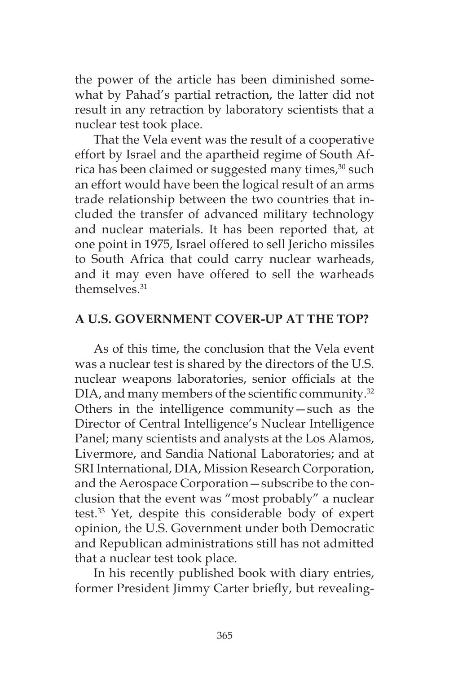the power of the article has been diminished somewhat by Pahad's partial retraction, the latter did not result in any retraction by laboratory scientists that a nuclear test took place.

That the Vela event was the result of a cooperative effort by Israel and the apartheid regime of South Africa has been claimed or suggested many times,<sup>30</sup> such an effort would have been the logical result of an arms trade relationship between the two countries that included the transfer of advanced military technology and nuclear materials. It has been reported that, at one point in 1975, Israel offered to sell Jericho missiles to South Africa that could carry nuclear warheads, and it may even have offered to sell the warheads themselves<sup>31</sup>

## **A U.S. GOVERNMENT COVER-UP AT THE TOP?**

As of this time, the conclusion that the Vela event was a nuclear test is shared by the directors of the U.S. nuclear weapons laboratories, senior officials at the DIA, and many members of the scientific community.<sup>32</sup> Others in the intelligence community—such as the Director of Central Intelligence's Nuclear Intelligence Panel; many scientists and analysts at the Los Alamos, Livermore, and Sandia National Laboratories; and at SRI International, DIA, Mission Research Corporation, and the Aerospace Corporation—subscribe to the conclusion that the event was "most probably" a nuclear test.33 Yet, despite this considerable body of expert opinion, the U.S. Government under both Democratic and Republican administrations still has not admitted that a nuclear test took place.

In his recently published book with diary entries, former President Jimmy Carter briefly, but revealing-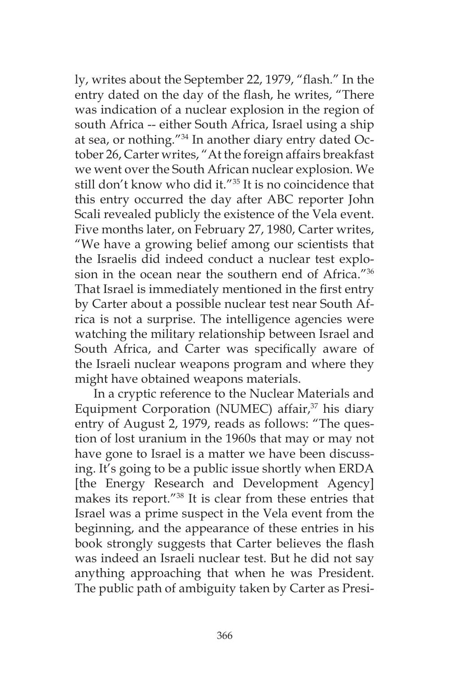ly, writes about the September 22, 1979, "flash." In the entry dated on the day of the flash, he writes, "There was indication of a nuclear explosion in the region of south Africa -- either South Africa, Israel using a ship at sea, or nothing."34 In another diary entry dated October 26, Carter writes, "At the foreign affairs breakfast we went over the South African nuclear explosion. We still don't know who did it."35 It is no coincidence that this entry occurred the day after ABC reporter John Scali revealed publicly the existence of the Vela event. Five months later, on February 27, 1980, Carter writes, "We have a growing belief among our scientists that the Israelis did indeed conduct a nuclear test explosion in the ocean near the southern end of Africa."36 That Israel is immediately mentioned in the first entry by Carter about a possible nuclear test near South Africa is not a surprise. The intelligence agencies were watching the military relationship between Israel and South Africa, and Carter was specifically aware of the Israeli nuclear weapons program and where they might have obtained weapons materials.

In a cryptic reference to the Nuclear Materials and Equipment Corporation (NUMEC) affair, $37$  his diary entry of August 2, 1979, reads as follows: "The question of lost uranium in the 1960s that may or may not have gone to Israel is a matter we have been discussing. It's going to be a public issue shortly when ERDA [the Energy Research and Development Agency] makes its report."38 It is clear from these entries that Israel was a prime suspect in the Vela event from the beginning, and the appearance of these entries in his book strongly suggests that Carter believes the flash was indeed an Israeli nuclear test. But he did not say anything approaching that when he was President. The public path of ambiguity taken by Carter as Presi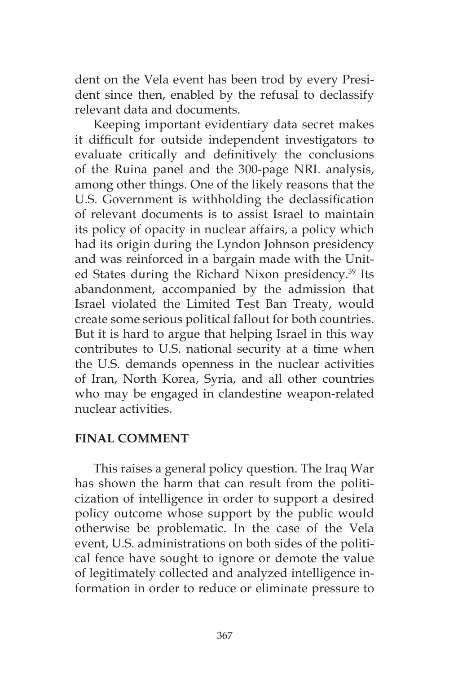dent on the Vela event has been trod by every President since then, enabled by the refusal to declassify relevant data and documents.

Keeping important evidentiary data secret makes it difficult for outside independent investigators to evaluate critically and definitively the conclusions of the Ruina panel and the 300-page NRL analysis, among other things. One of the likely reasons that the U.S. Government is withholding the declassification of relevant documents is to assist Israel to maintain its policy of opacity in nuclear affairs, a policy which had its origin during the Lyndon Johnson presidency and was reinforced in a bargain made with the United States during the Richard Nixon presidency.39 Its abandonment, accompanied by the admission that Israel violated the Limited Test Ban Treaty, would create some serious political fallout for both countries. But it is hard to argue that helping Israel in this way contributes to U.S. national security at a time when the U.S. demands openness in the nuclear activities of Iran, North Korea, Syria, and all other countries who may be engaged in clandestine weapon-related nuclear activities.

### **FINAL COMMENT**

This raises a general policy question. The Iraq War has shown the harm that can result from the politicization of intelligence in order to support a desired policy outcome whose support by the public would otherwise be problematic. In the case of the Vela event, U.S. administrations on both sides of the political fence have sought to ignore or demote the value of legitimately collected and analyzed intelligence information in order to reduce or eliminate pressure to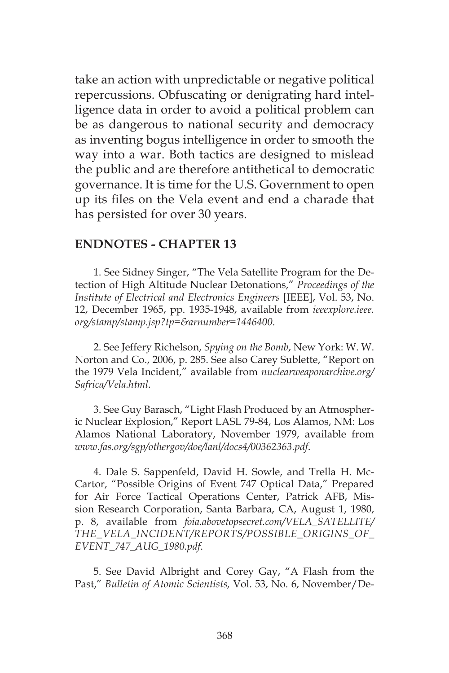take an action with unpredictable or negative political repercussions. Obfuscating or denigrating hard intelligence data in order to avoid a political problem can be as dangerous to national security and democracy as inventing bogus intelligence in order to smooth the way into a war. Both tactics are designed to mislead the public and are therefore antithetical to democratic governance. It is time for the U.S. Government to open up its files on the Vela event and end a charade that has persisted for over 30 years.

#### **ENDNOTES - CHAPTER 13**

1. See Sidney Singer, "The Vela Satellite Program for the Detection of High Altitude Nuclear Detonations," *Proceedings of the Institute of Electrical and Electronics Engineers* [IEEE], Vol. 53, No. 12, December 1965, pp. 1935-1948, available from *ieeexplore.ieee. org/stamp/stamp.jsp?tp=&arnumber=1446400*.

2. See Jeffery Richelson, *Spying on the Bomb*, New York: W. W. Norton and Co., 2006, p. 285. See also Carey Sublette, "Report on the 1979 Vela Incident," available from *nuclearweaponarchive.org/ Safrica/Vela.html*.

3. See Guy Barasch, "Light Flash Produced by an Atmospheric Nuclear Explosion," Report LASL 79-84, Los Alamos, NM: Los Alamos National Laboratory, November 1979, available from *www.fas.org/sgp/othergov/doe/lanl/docs4/00362363.pdf*.

4. Dale S. Sappenfeld, David H. Sowle, and Trella H. Mc-Cartor, "Possible Origins of Event 747 Optical Data," Prepared for Air Force Tactical Operations Center, Patrick AFB, Mission Research Corporation, Santa Barbara, CA, August 1, 1980, p. 8, available from *foia.abovetopsecret.com/VELA\_SATELLITE/ THE\_VELA\_INCIDENT/REPORTS/POSSIBLE\_ORIGINS\_OF\_ EVENT\_747\_AUG\_1980.pdf*.

5. See David Albright and Corey Gay, "A Flash from the Past," *Bulletin of Atomic Scientists,* Vol. 53, No. 6, November/De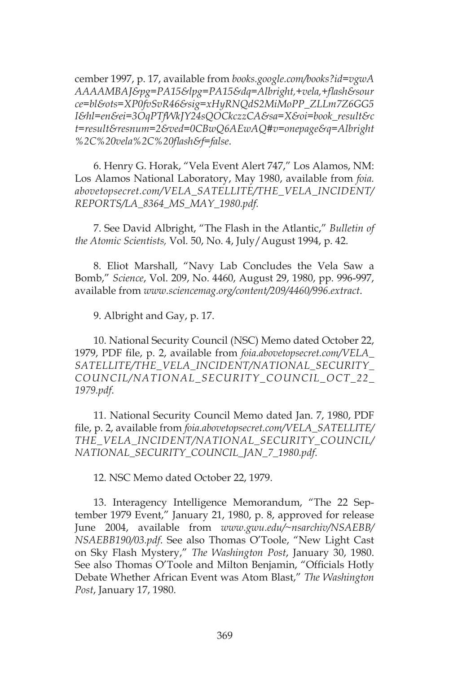cember 1997, p. 17, available from *books.google.com/books?id=vgwA AAAAMBAJ&pg=PA15&lpg=PA15&dq=Albright,+vela,+flash&sour ce=bl&ots=XP0fvSvR46&sig=xHyRNQdS2MiMoPP\_ZLLm7Z6GG5 I&hl=en&ei=3OqPTfWkJY24sQOCkczzCA&sa=X&oi=book\_result&c t=result&resnum=2&ved=0CBwQ6AEwAQ#v=onepage&q=Albright %2C%20vela%2C%20flash&f=false*.

6. Henry G. Horak, "Vela Event Alert 747," Los Alamos, NM: Los Alamos National Laboratory, May 1980, available from *foia. abovetopsecret.com/VELA\_SATELLITE/THE\_VELA\_INCIDENT/ REPORTS/LA\_8364\_MS\_MAY\_1980.pdf.*

7. See David Albright, "The Flash in the Atlantic," *Bulletin of the Atomic Scientists,* Vol. 50, No. 4, July/August 1994, p. 42.

8. Eliot Marshall, "Navy Lab Concludes the Vela Saw a Bomb," *Science*, Vol. 209, No. 4460, August 29, 1980, pp. 996-997, available from *www.sciencemag.org/content/209/4460/996.extract*.

9. Albright and Gay, p. 17.

10. National Security Council (NSC) Memo dated October 22, 1979, PDF file, p. 2, available from *foia.abovetopsecret.com/VELA\_ SATELLITE/THE\_VELA\_INCIDENT/NATIONAL\_SECURITY\_ COUNCIL/NATIONAL\_SECURITY\_COUNCIL\_OCT\_22\_ 1979.pdf*.

11. National Security Council Memo dated Jan. 7, 1980, PDF file, p. 2, available from *foia.abovetopsecret.com/VELA\_SATELLITE/ THE\_VELA\_INCIDENT/NATIONAL\_SECURITY\_COUNCIL/ NATIONAL\_SECURITY\_COUNCIL\_JAN\_7\_1980.pdf*.

12. NSC Memo dated October 22, 1979.

13. Interagency Intelligence Memorandum, "The 22 September 1979 Event," January 21, 1980, p. 8, approved for release June 2004, available from *www.gwu.edu/~nsarchiv/NSAEBB/ NSAEBB190/03.pdf*. See also Thomas O'Toole, "New Light Cast on Sky Flash Mystery," *The Washington Post*, January 30, 1980. See also Thomas O'Toole and Milton Benjamin, "Officials Hotly Debate Whether African Event was Atom Blast," *The Washington Post*, January 17, 1980.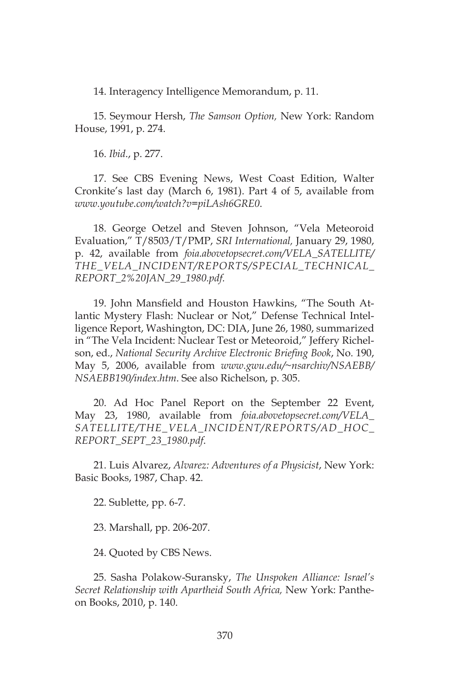14. Interagency Intelligence Memorandum, p. 11.

15. Seymour Hersh, *The Samson Option,* New York: Random House, 1991, p. 274.

16. *Ibid*., p. 277.

17. See CBS Evening News, West Coast Edition, Walter Cronkite's last day (March 6, 1981). Part 4 of 5, available from *www.youtube.com/watch?v=piLAsh6GRE0*.

18. George Oetzel and Steven Johnson, "Vela Meteoroid Evaluation," T/8503/T/PMP, *SRI International,* January 29, 1980, p. 42, available from *foia.abovetopsecret.com/VELA\_SATELLITE/ THE\_VELA\_INCIDENT/REPORTS/SPECIAL\_TECHNICAL\_ REPORT\_2%20JAN\_29\_1980.pdf.*

19. John Mansfield and Houston Hawkins, "The South Atlantic Mystery Flash: Nuclear or Not," Defense Technical Intelligence Report, Washington, DC: DIA, June 26, 1980, summarized in "The Vela Incident: Nuclear Test or Meteoroid," Jeffery Richelson, ed., *National Security Archive Electronic Briefing Book*, No. 190, May 5, 2006, available from *www.gwu.edu/~nsarchiv/NSAEBB/ NSAEBB190/index.htm*. See also Richelson, p. 305.

20. Ad Hoc Panel Report on the September 22 Event, May 23, 1980, available from *foia.abovetopsecret.com/VELA\_ SATELLITE/THE\_VELA\_INCIDENT/REPORTS/AD\_HOC\_ REPORT\_SEPT\_23\_1980.pdf*.

21. Luis Alvarez, *Alvarez: Adventures of a Physicist*, New York: Basic Books, 1987, Chap. 42.

22. Sublette, pp. 6-7.

23. Marshall, pp. 206-207.

24. Quoted by CBS News.

25. Sasha Polakow-Suransky, *The Unspoken Alliance: Israel's Secret Relationship with Apartheid South Africa,* New York: Pantheon Books, 2010, p. 140.